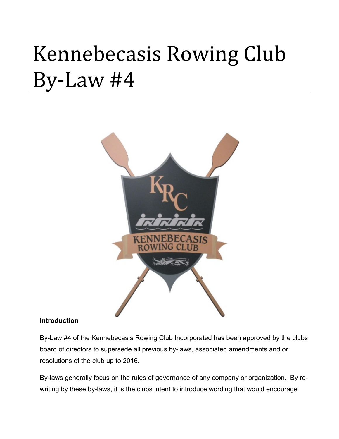# Kennebecasis Rowing Club By-Law #4



#### **Introduction**

By-Law #4 of the Kennebecasis Rowing Club Incorporated has been approved by the clubs board of directors to supersede all previous by-laws, associated amendments and or resolutions of the club up to 2016.

By-laws generally focus on the rules of governance of any company or organization. By rewriting by these by-laws, it is the clubs intent to introduce wording that would encourage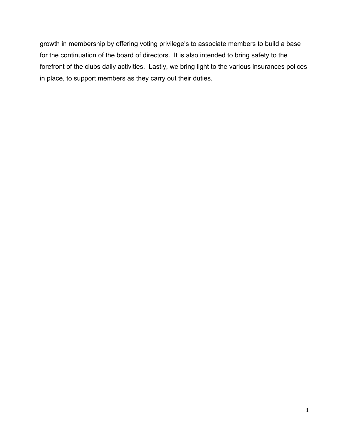growth in membership by offering voting privilege's to associate members to build a base for the continuation of the board of directors. It is also intended to bring safety to the forefront of the clubs daily activities. Lastly, we bring light to the various insurances polices in place, to support members as they carry out their duties.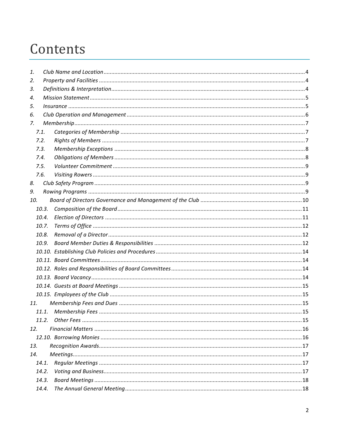# Contents

| 1.              |       |  |
|-----------------|-------|--|
| 2.              |       |  |
| 3.              |       |  |
| 4.              |       |  |
| 5.              |       |  |
| 6.              |       |  |
| 7.              |       |  |
|                 | 7.1.  |  |
|                 | 7.2.  |  |
|                 | 7.3.  |  |
|                 | 7.4.  |  |
|                 | 7.5.  |  |
|                 | 7.6.  |  |
| 8.              |       |  |
| 9.              |       |  |
| 10.             |       |  |
|                 | 10.3. |  |
|                 | 10.4. |  |
|                 | 10.7. |  |
|                 | 10.8. |  |
|                 | 10.9. |  |
|                 |       |  |
|                 |       |  |
|                 |       |  |
|                 |       |  |
|                 |       |  |
|                 |       |  |
| 11 <sub>1</sub> |       |  |
|                 |       |  |
|                 | 11.2. |  |
| 12.             |       |  |
|                 |       |  |
| 13.             |       |  |
| 14.             |       |  |
|                 | 14.1. |  |
|                 | 14.2. |  |
|                 | 14.3. |  |
|                 | 14.4. |  |
|                 |       |  |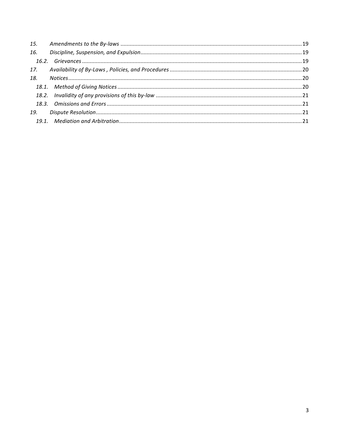| 16. |  |
|-----|--|
|     |  |
|     |  |
| 18. |  |
|     |  |
|     |  |
|     |  |
| 19. |  |
|     |  |
|     |  |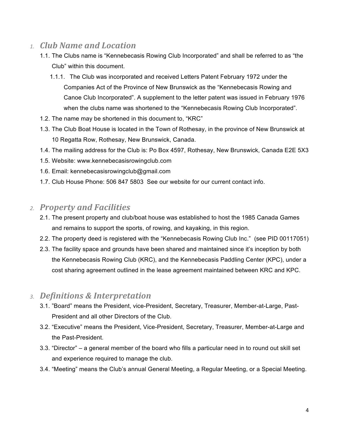# *1. Club Name and Location*

- 1.1. The Clubs name is "Kennebecasis Rowing Club Incorporated" and shall be referred to as "the Club" within this document.
	- 1.1.1. The Club was incorporated and received Letters Patent February 1972 under the Companies Act of the Province of New Brunswick as the "Kennebecasis Rowing and Canoe Club Incorporated". A supplement to the letter patent was issued in February 1976 when the clubs name was shortened to the "Kennebecasis Rowing Club Incorporated".
- 1.2. The name may be shortened in this document to, "KRC"
- 1.3. The Club Boat House is located in the Town of Rothesay, in the province of New Brunswick at 10 Regatta Row, Rothesay, New Brunswick, Canada.
- 1.4. The mailing address for the Club is: Po Box 4597, Rothesay, New Brunswick, Canada E2E 5X3
- 1.5. Website: www.kennebecasisrowingclub.com
- 1.6. Email: kennebecasisrowingclub@gmail.com
- 1.7. Club House Phone: 506 847 5803 See our website for our current contact info.

# *2. Property and Facilities*

- 2.1. The present property and club/boat house was established to host the 1985 Canada Games and remains to support the sports, of rowing, and kayaking, in this region.
- 2.2. The property deed is registered with the "Kennebecasis Rowing Club Inc." (see PID 00117051)
- 2.3. The facility space and grounds have been shared and maintained since it's inception by both the Kennebecasis Rowing Club (KRC), and the Kennebecasis Paddling Center (KPC), under a cost sharing agreement outlined in the lease agreement maintained between KRC and KPC.

# *3. Definitions & Interpretation*

- 3.1. "Board" means the President, vice-President, Secretary, Treasurer, Member-at-Large, Past-President and all other Directors of the Club.
- 3.2. "Executive" means the President, Vice-President, Secretary, Treasurer, Member-at-Large and the Past-President.
- 3.3. "Director" a general member of the board who fills a particular need in to round out skill set and experience required to manage the club.
- 3.4. "Meeting" means the Club's annual General Meeting, a Regular Meeting, or a Special Meeting.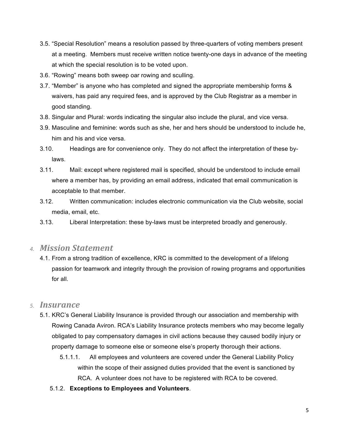- 3.5. "Special Resolution" means a resolution passed by three-quarters of voting members present at a meeting. Members must receive written notice twenty-one days in advance of the meeting at which the special resolution is to be voted upon.
- 3.6. "Rowing" means both sweep oar rowing and sculling.
- 3.7. "Member" is anyone who has completed and signed the appropriate membership forms & waivers, has paid any required fees, and is approved by the Club Registrar as a member in good standing.
- 3.8. Singular and Plural: words indicating the singular also include the plural, and vice versa.
- 3.9. Masculine and feminine: words such as she, her and hers should be understood to include he, him and his and vice versa.
- 3.10. Headings are for convenience only. They do not affect the interpretation of these bylaws.
- 3.11. Mail: except where registered mail is specified, should be understood to include email where a member has, by providing an email address, indicated that email communication is acceptable to that member.
- 3.12. Written communication: includes electronic communication via the Club website, social media, email, etc.
- 3.13. Liberal Interpretation: these by-laws must be interpreted broadly and generously.

#### *4. Mission Statement*

4.1. From a strong tradition of excellence, KRC is committed to the development of a lifelong passion for teamwork and integrity through the provision of rowing programs and opportunities for all.

#### *5. Insurance*

- 5.1. KRC's General Liability Insurance is provided through our association and membership with Rowing Canada Aviron. RCA's Liability Insurance protects members who may become legally obligated to pay compensatory damages in civil actions because they caused bodily injury or property damage to someone else or someone else's property thorough their actions.
	- 5.1.1.1. All employees and volunteers are covered under the General Liability Policy within the scope of their assigned duties provided that the event is sanctioned by RCA. A volunteer does not have to be registered with RCA to be covered.
	- 5.1.2. **Exceptions to Employees and Volunteers**.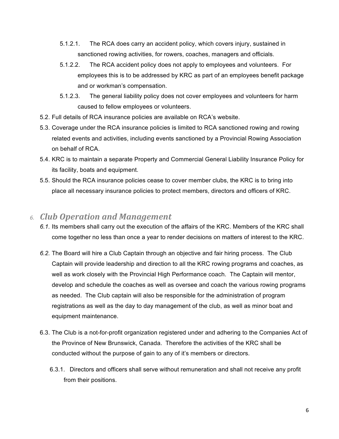- 5.1.2.1. The RCA does carry an accident policy, which covers injury, sustained in sanctioned rowing activities, for rowers, coaches, managers and officials.
- 5.1.2.2. The RCA accident policy does not apply to employees and volunteers. For employees this is to be addressed by KRC as part of an employees benefit package and or workman's compensation.
- 5.1.2.3. The general liability policy does not cover employees and volunteers for harm caused to fellow employees or volunteers.
- 5.2. Full details of RCA insurance policies are available on RCA's website.
- 5.3. Coverage under the RCA insurance policies is limited to RCA sanctioned rowing and rowing related events and activities, including events sanctioned by a Provincial Rowing Association on behalf of RCA.
- 5.4. KRC is to maintain a separate Property and Commercial General Liability Insurance Policy for its facility, boats and equipment.
- 5.5. Should the RCA insurance policies cease to cover member clubs, the KRC is to bring into place all necessary insurance policies to protect members, directors and officers of KRC.

# *6. Club Operation and Management*

- *6.1.* Its members shall carry out the execution of the affairs of the KRC. Members of the KRC shall come together no less than once a year to render decisions on matters of interest to the KRC.
- *6.2.* The Board will hire a Club Captain through an objective and fair hiring process. The Club Captain will provide leadership and direction to all the KRC rowing programs and coaches, as well as work closely with the Provincial High Performance coach. The Captain will mentor, develop and schedule the coaches as well as oversee and coach the various rowing programs as needed. The Club captain will also be responsible for the administration of program registrations as well as the day to day management of the club, as well as minor boat and equipment maintenance.
- 6.3. The Club is a not-for-profit organization registered under and adhering to the Companies Act of the Province of New Brunswick, Canada. Therefore the activities of the KRC shall be conducted without the purpose of gain to any of it's members or directors.
	- 6.3.1. Directors and officers shall serve without remuneration and shall not receive any profit from their positions.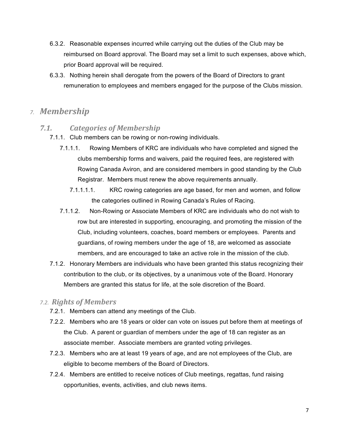- 6.3.2. Reasonable expenses incurred while carrying out the duties of the Club may be reimbursed on Board approval. The Board may set a limit to such expenses, above which, prior Board approval will be required.
- 6.3.3. Nothing herein shall derogate from the powers of the Board of Directors to grant remuneration to employees and members engaged for the purpose of the Clubs mission.

# *7. Membership*

#### 7.1. Categories of Membership

- 7.1.1. Club members can be rowing or non-rowing individuals.
	- 7.1.1.1. Rowing Members of KRC are individuals who have completed and signed the clubs membership forms and waivers, paid the required fees, are registered with Rowing Canada Aviron, and are considered members in good standing by the Club Registrar. Members must renew the above requirements annually.
		- 7.1.1.1.1. KRC rowing categories are age based, for men and women, and follow the categories outlined in Rowing Canada's Rules of Racing.
	- 7.1.1.2. Non-Rowing or Associate Members of KRC are individuals who do not wish to row but are interested in supporting, encouraging, and promoting the mission of the Club, including volunteers, coaches, board members or employees. Parents and guardians, of rowing members under the age of 18, are welcomed as associate members, and are encouraged to take an active role in the mission of the club.
- 7.1.2. Honorary Members are individuals who have been granted this status recognizing their contribution to the club, or its objectives, by a unanimous vote of the Board. Honorary Members are granted this status for life, at the sole discretion of the Board.

#### *7.2. Rights of Members*

- 7.2.1. Members can attend any meetings of the Club.
- 7.2.2. Members who are 18 years or older can vote on issues put before them at meetings of the Club. A parent or guardian of members under the age of 18 can register as an associate member. Associate members are granted voting privileges.
- 7.2.3. Members who are at least 19 years of age, and are not employees of the Club, are eligible to become members of the Board of Directors.
- 7.2.4. Members are entitled to receive notices of Club meetings, regattas, fund raising opportunities, events, activities, and club news items.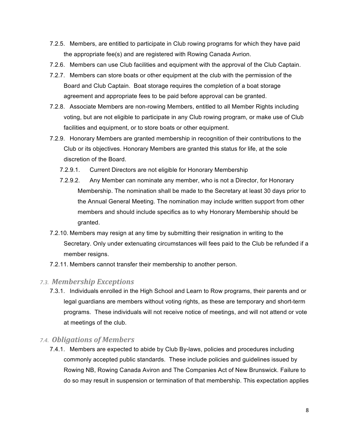- 7.2.5. Members, are entitled to participate in Club rowing programs for which they have paid the appropriate fee(s) and are registered with Rowing Canada Avrion.
- 7.2.6. Members can use Club facilities and equipment with the approval of the Club Captain.
- 7.2.7. Members can store boats or other equipment at the club with the permission of the Board and Club Captain. Boat storage requires the completion of a boat storage agreement and appropriate fees to be paid before approval can be granted.
- 7.2.8. Associate Members are non-rowing Members, entitled to all Member Rights including voting, but are not eligible to participate in any Club rowing program, or make use of Club facilities and equipment, or to store boats or other equipment.
- 7.2.9. Honorary Members are granted membership in recognition of their contributions to the Club or its objectives. Honorary Members are granted this status for life, at the sole discretion of the Board.
	- 7.2.9.1. Current Directors are not eligible for Honorary Membership
	- 7.2.9.2. Any Member can nominate any member, who is not a Director, for Honorary Membership. The nomination shall be made to the Secretary at least 30 days prior to the Annual General Meeting. The nomination may include written support from other members and should include specifics as to why Honorary Membership should be granted.
- 7.2.10. Members may resign at any time by submitting their resignation in writing to the Secretary. Only under extenuating circumstances will fees paid to the Club be refunded if a member resigns.
- 7.2.11. Members cannot transfer their membership to another person.

#### *7.3. Membership Exceptions*

7.3.1. Individuals enrolled in the High School and Learn to Row programs, their parents and or legal guardians are members without voting rights, as these are temporary and short-term programs. These individuals will not receive notice of meetings, and will not attend or vote at meetings of the club.

#### *7.4. Obligations of Members*

7.4.1. Members are expected to abide by Club By-laws, policies and procedures including commonly accepted public standards. These include policies and guidelines issued by Rowing NB, Rowing Canada Aviron and The Companies Act of New Brunswick. Failure to do so may result in suspension or termination of that membership. This expectation applies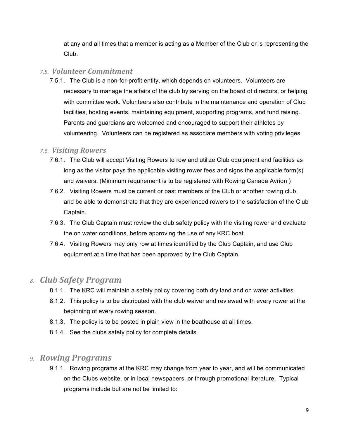at any and all times that a member is acting as a Member of the Club or is representing the Club.

#### *7.5. Volunteer Commitment*

7.5.1. The Club is a non-for-profit entity, which depends on volunteers. Volunteers are necessary to manage the affairs of the club by serving on the board of directors, or helping with committee work. Volunteers also contribute in the maintenance and operation of Club facilities, hosting events, maintaining equipment, supporting programs, and fund raising. Parents and guardians are welcomed and encouraged to support their athletes by volunteering. Volunteers can be registered as associate members with voting privileges.

#### *7.6. Visiting Rowers*

- 7.6.1. The Club will accept Visiting Rowers to row and utilize Club equipment and facilities as long as the visitor pays the applicable visiting rower fees and signs the applicable form(s) and waivers. (Minimum requirement is to be registered with Rowing Canada Avrion )
- 7.6.2. Visiting Rowers must be current or past members of the Club or another rowing club, and be able to demonstrate that they are experienced rowers to the satisfaction of the Club Captain.
- 7.6.3. The Club Captain must review the club safety policy with the visiting rower and evaluate the on water conditions, before approving the use of any KRC boat.
- 7.6.4. Visiting Rowers may only row at times identified by the Club Captain, and use Club equipment at a time that has been approved by the Club Captain.

# *8. Club Safety Program*

- 8.1.1. The KRC will maintain a safety policy covering both dry land and on water activities.
- 8.1.2. This policy is to be distributed with the club waiver and reviewed with every rower at the beginning of every rowing season.
- 8.1.3. The policy is to be posted in plain view in the boathouse at all times.
- 8.1.4. See the clubs safety policy for complete details.

# *9. Rowing Programs*

9.1.1. Rowing programs at the KRC may change from year to year, and will be communicated on the Clubs website, or in local newspapers, or through promotional literature. Typical programs include but are not be limited to: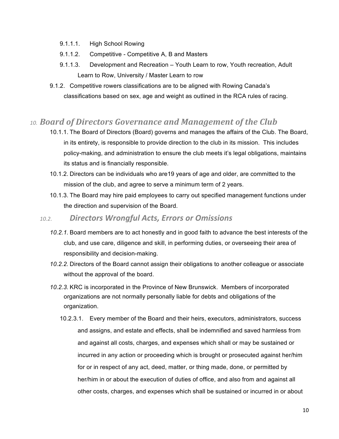- 9.1.1.1. High School Rowing
- 9.1.1.2. Competitive Competitive A, B and Masters
- 9.1.1.3. Development and Recreation Youth Learn to row, Youth recreation, Adult Learn to Row, University / Master Learn to row
- 9.1.2. Competitive rowers classifications are to be aligned with Rowing Canada's classifications based on sex, age and weight as outlined in the RCA rules of racing.

# *10. Board of Directors Governance and Management of the Club*

- 10.1.1. The Board of Directors (Board) governs and manages the affairs of the Club. The Board, in its entirety, is responsible to provide direction to the club in its mission. This includes policy-making, and administration to ensure the club meets it's legal obligations, maintains its status and is financially responsible.
- 10.1.2. Directors can be individuals who are19 years of age and older, are committed to the mission of the club, and agree to serve a minimum term of 2 years.
- 10.1.3. The Board may hire paid employees to carry out specified management functions under the direction and supervision of the Board.

# *10.2. Directors Wrongful Acts, Errors or Omissions*

- *10.2.1.* Board members are to act honestly and in good faith to advance the best interests of the club, and use care, diligence and skill, in performing duties, or overseeing their area of responsibility and decision-making.
- *10.2.2.* Directors of the Board cannot assign their obligations to another colleague or associate without the approval of the board.
- *10.2.3.* KRC is incorporated in the Province of New Brunswick. Members of incorporated organizations are not normally personally liable for debts and obligations of the organization.
	- 10.2.3.1. Every member of the Board and their heirs, executors, administrators, success and assigns, and estate and effects, shall be indemnified and saved harmless from and against all costs, charges, and expenses which shall or may be sustained or incurred in any action or proceeding which is brought or prosecuted against her/him for or in respect of any act, deed, matter, or thing made, done, or permitted by her/him in or about the execution of duties of office, and also from and against all other costs, charges, and expenses which shall be sustained or incurred in or about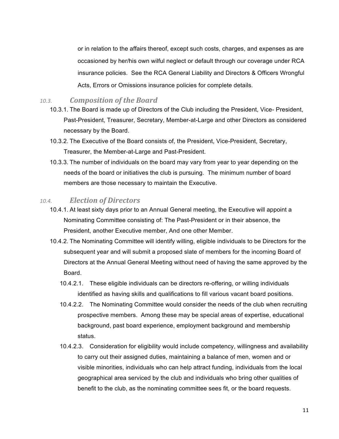or in relation to the affairs thereof, except such costs, charges, and expenses as are occasioned by her/his own wilful neglect or default through our coverage under RCA insurance policies. See the RCA General Liability and Directors & Officers Wrongful Acts, Errors or Omissions insurance policies for complete details.

#### 10.3. *Composition of the Board*

- 10.3.1. The Board is made up of Directors of the Club including the President, Vice- President, Past-President, Treasurer, Secretary, Member-at-Large and other Directors as considered necessary by the Board.
- 10.3.2. The Executive of the Board consists of, the President, Vice-President, Secretary, Treasurer, the Member-at-Large and Past-President.
- 10.3.3. The number of individuals on the board may vary from year to year depending on the needs of the board or initiatives the club is pursuing. The minimum number of board members are those necessary to maintain the Executive.

#### 10.4. *Election of Directors*

- 10.4.1. At least sixty days prior to an Annual General meeting, the Executive will appoint a Nominating Committee consisting of: The Past-President or in their absence, the President, another Executive member, And one other Member.
- 10.4.2. The Nominating Committee will identify willing, eligible individuals to be Directors for the subsequent year and will submit a proposed slate of members for the incoming Board of Directors at the Annual General Meeting without need of having the same approved by the Board.
	- 10.4.2.1. These eligible individuals can be directors re-offering, or willing individuals identified as having skills and qualifications to fill various vacant board positions.
	- 10.4.2.2. The Nominating Committee would consider the needs of the club when recruiting prospective members. Among these may be special areas of expertise, educational background, past board experience, employment background and membership status.
	- 10.4.2.3. Consideration for eligibility would include competency, willingness and availability to carry out their assigned duties, maintaining a balance of men, women and or visible minorities, individuals who can help attract funding, individuals from the local geographical area serviced by the club and individuals who bring other qualities of benefit to the club, as the nominating committee sees fit, or the board requests.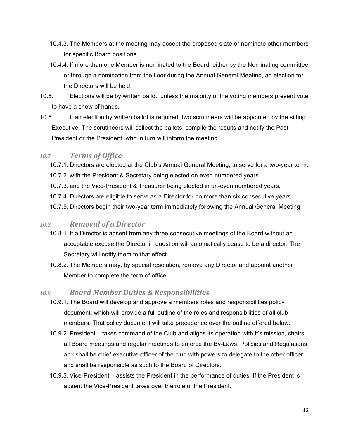- 10.4.3. The Members at the meeting may accept the proposed slate or nominate other members for specific Board positions.
- 10.4.4. If more than one Member is nominated to the Board, either by the Nominating committee or through a nomination from the floor during the Annual General Meeting, an election for the Directors will be held.
- 10.5. Elections will be by written ballot, unless the majority of the voting members present vote to have a show of hands.
- 10.6. If an election by written ballot is required, two scrutineers will be appointed by the sitting Executive. The scrutineers will collect the ballots, compile the results and notify the Past-President or the President, who in turn will inform the meeting.

#### 10.7. *Terms of Office*

- 10.7.1. Directors are elected at the Club's Annual General Meeting, to serve for a two-year term,
- 10.7.2. with the President & Secretary being elected on even numbered years
- 10.7.3. and the Vice-President & Treasurer being elected in un-even numbered years.
- 10.7.4. Directors are eligible to serve as a Director for no more than six consecutive years.
- 10.7.5. Directors begin their two-year term immediately following the Annual General Meeting.

#### *10.8. Removal of a Director*

- 10.8.1. If a Director is absent from any three consecutive meetings of the Board without an acceptable excuse the Director in question will automatically cease to be a director. The Secretary will notify them to that effect.
- 10.8.2. The Members may, by special resolution, remove any Director and appoint another Member to complete the term of office.

#### *10.9. Board Member Duties & Responsibilities*

- 10.9.1. The Board will develop and approve a members roles and responsibilities policy document, which will provide a full outline of the roles and responsibilities of all club members. That policy document will take precedence over the outline offered below.
- 10.9.2. President takes command of the Club and aligns its operation with it's mission, chairs all Board meetings and regular meetings to enforce the By-Laws, Policies and Regulations and shall be chief executive officer of the club with powers to delegate to the other officer and shall be responsible as such to the Board of Directors.
- 10.9.3. Vice-President assists the President in the performance of duties. If the President is absent the Vice-President takes over the role of the President.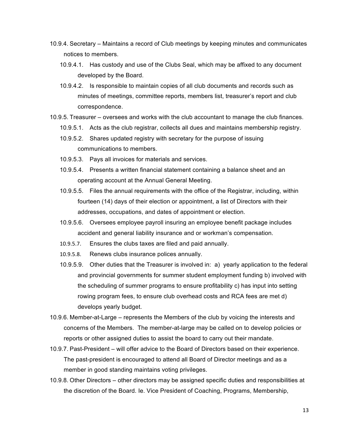- 10.9.4. Secretary Maintains a record of Club meetings by keeping minutes and communicates notices to members.
	- 10.9.4.1. Has custody and use of the Clubs Seal, which may be affixed to any document developed by the Board.
	- 10.9.4.2. Is responsible to maintain copies of all club documents and records such as minutes of meetings, committee reports, members list, treasurer's report and club correspondence.
- 10.9.5. Treasurer oversees and works with the club accountant to manage the club finances.
	- 10.9.5.1. Acts as the club registrar, collects all dues and maintains membership registry.
	- 10.9.5.2. Shares updated registry with secretary for the purpose of issuing communications to members.
	- 10.9.5.3. Pays all invoices for materials and services.
	- 10.9.5.4. Presents a written financial statement containing a balance sheet and an operating account at the Annual General Meeting.
	- 10.9.5.5. Files the annual requirements with the office of the Registrar, including, within fourteen (14) days of their election or appointment, a list of Directors with their addresses, occupations, and dates of appointment or election.
	- 10.9.5.6. Oversees employee payroll insuring an employee benefit package includes accident and general liability insurance and or workman's compensation.
	- 10.9.5.7. Ensures the clubs taxes are filed and paid annually.
	- 10.9.5.8. Renews clubs insurance polices annually.
	- 10.9.5.9. Other duties that the Treasurer is involved in: a) yearly application to the federal and provincial governments for summer student employment funding b) involved with the scheduling of summer programs to ensure profitability c) has input into setting rowing program fees, to ensure club overhead costs and RCA fees are met d) develops yearly budget.
- 10.9.6. Member-at-Large represents the Members of the club by voicing the interests and concerns of the Members. The member-at-large may be called on to develop policies or reports or other assigned duties to assist the board to carry out their mandate.
- 10.9.7. Past-President will offer advice to the Board of Directors based on their experience. The past-president is encouraged to attend all Board of Director meetings and as a member in good standing maintains voting privileges.
- 10.9.8. Other Directors other directors may be assigned specific duties and responsibilities at the discretion of the Board. Ie. Vice President of Coaching, Programs, Membership,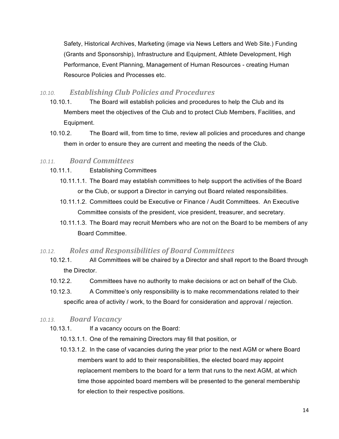Safety, Historical Archives, Marketing (image via News Letters and Web Site.) Funding (Grants and Sponsorship), Infrastructure and Equipment, Athlete Development, High Performance, Event Planning, Management of Human Resources - creating Human Resource Policies and Processes etc.

#### *10.10. Establishing Club Policies and Procedures*

- 10.10.1. The Board will establish policies and procedures to help the Club and its Members meet the objectives of the Club and to protect Club Members, Facilities, and Equipment.
- 10.10.2. The Board will, from time to time, review all policies and procedures and change them in order to ensure they are current and meeting the needs of the Club.

#### *10.11. Board Committees*

- 10.11.1. Establishing Committees
	- 10.11.1.1. The Board may establish committees to help support the activities of the Board or the Club, or support a Director in carrying out Board related responsibilities.
	- 10.11.1.2. Committees could be Executive or Finance / Audit Committees. An Executive Committee consists of the president, vice president, treasurer, and secretary.
	- 10.11.1.3. The Board may recruit Members who are not on the Board to be members of any Board Committee.

#### *10.12. Roles and Responsibilities of Board Committees*

- 10.12.1. All Committees will be chaired by a Director and shall report to the Board through the Director.
- 10.12.2. Committees have no authority to make decisions or act on behalf of the Club.
- 10.12.3. A Committee's only responsibility is to make recommendations related to their specific area of activity / work, to the Board for consideration and approval / rejection.

#### *10.13. Board Vacancy*

- 10.13.1. If a vacancy occurs on the Board:
	- 10.13.1.1. One of the remaining Directors may fill that position, or
	- 10.13.1.2. In the case of vacancies during the year prior to the next AGM or where Board members want to add to their responsibilities, the elected board may appoint replacement members to the board for a term that runs to the next AGM, at which time those appointed board members will be presented to the general membership for election to their respective positions.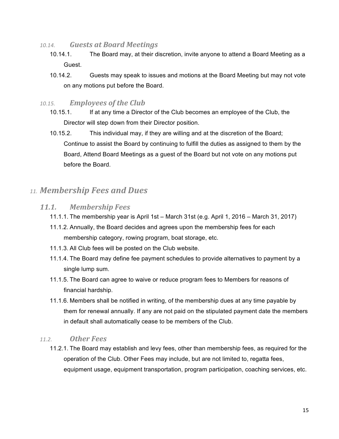- 10.14. *Guests at Board Meetings* 
	- 10.14.1. The Board may, at their discretion, invite anyone to attend a Board Meeting as a Guest.
	- 10.14.2. Guests may speak to issues and motions at the Board Meeting but may not vote on any motions put before the Board.

#### 10.15. **Employees of the Club**

- 10.15.1. If at any time a Director of the Club becomes an employee of the Club, the Director will step down from their Director position.
- 10.15.2. This individual may, if they are willing and at the discretion of the Board; Continue to assist the Board by continuing to fulfill the duties as assigned to them by the Board, Attend Board Meetings as a guest of the Board but not vote on any motions put before the Board.

# *11. Membership Fees and Dues*

#### *11.1. Membership Fees*

- 11.1.1. The membership year is April 1st March 31st (e.g. April 1, 2016 March 31, 2017)
- 11.1.2. Annually, the Board decides and agrees upon the membership fees for each membership category, rowing program, boat storage, etc.
- 11.1.3. All Club fees will be posted on the Club website.
- 11.1.4. The Board may define fee payment schedules to provide alternatives to payment by a single lump sum.
- 11.1.5. The Board can agree to waive or reduce program fees to Members for reasons of financial hardship.
- 11.1.6. Members shall be notified in writing, of the membership dues at any time payable by them for renewal annually. If any are not paid on the stipulated payment date the members in default shall automatically cease to be members of the Club.

#### *11.2. Other Fees*

11.2.1. The Board may establish and levy fees, other than membership fees, as required for the operation of the Club. Other Fees may include, but are not limited to, regatta fees, equipment usage, equipment transportation, program participation, coaching services, etc.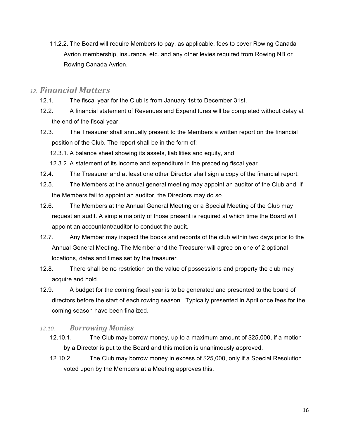11.2.2. The Board will require Members to pay, as applicable, fees to cover Rowing Canada Avrion membership, insurance, etc. and any other levies required from Rowing NB or Rowing Canada Avrion.

# *12. Financial Matters*

- 12.1. The fiscal year for the Club is from January 1st to December 31st.
- 12.2. A financial statement of Revenues and Expenditures will be completed without delay at the end of the fiscal year.
- 12.3. The Treasurer shall annually present to the Members a written report on the financial position of the Club. The report shall be in the form of:
	- 12.3.1. A balance sheet showing its assets, liabilities and equity, and
	- 12.3.2. A statement of its income and expenditure in the preceding fiscal year.
- 12.4. The Treasurer and at least one other Director shall sign a copy of the financial report.
- 12.5. The Members at the annual general meeting may appoint an auditor of the Club and, if the Members fail to appoint an auditor, the Directors may do so.
- 12.6. The Members at the Annual General Meeting or a Special Meeting of the Club may request an audit. A simple majority of those present is required at which time the Board will appoint an accountant/auditor to conduct the audit.
- 12.7. Any Member may inspect the books and records of the club within two days prior to the Annual General Meeting. The Member and the Treasurer will agree on one of 2 optional locations, dates and times set by the treasurer.
- 12.8. There shall be no restriction on the value of possessions and property the club may acquire and hold.
- 12.9. A budget for the coming fiscal year is to be generated and presented to the board of directors before the start of each rowing season. Typically presented in April once fees for the coming season have been finalized.

#### *12.10. Borrowing Monies*

- 12.10.1. The Club may borrow money, up to a maximum amount of \$25,000, if a motion by a Director is put to the Board and this motion is unanimously approved.
- 12.10.2. The Club may borrow money in excess of \$25,000, only if a Special Resolution voted upon by the Members at a Meeting approves this.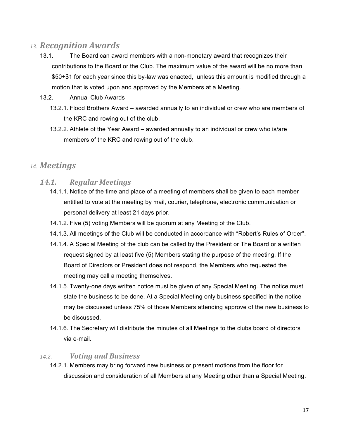# *13. Recognition Awards*

- 13.1. The Board can award members with a non-monetary award that recognizes their contributions to the Board or the Club. The maximum value of the award will be no more than \$50+\$1 for each year since this by-law was enacted, unless this amount is modified through a motion that is voted upon and approved by the Members at a Meeting.
- 13.2. Annual Club Awards
	- 13.2.1. Flood Brothers Award awarded annually to an individual or crew who are members of the KRC and rowing out of the club.
	- 13.2.2. Athlete of the Year Award awarded annually to an individual or crew who is/are members of the KRC and rowing out of the club.

# *14. Meetings*

#### *14.1. Regular Meetings*

- 14.1.1. Notice of the time and place of a meeting of members shall be given to each member entitled to vote at the meeting by mail, courier, telephone, electronic communication or personal delivery at least 21 days prior.
- 14.1.2. Five (5) voting Members will be quorum at any Meeting of the Club.
- 14.1.3. All meetings of the Club will be conducted in accordance with "Robert's Rules of Order".
- 14.1.4. A Special Meeting of the club can be called by the President or The Board or a written request signed by at least five (5) Members stating the purpose of the meeting. If the Board of Directors or President does not respond, the Members who requested the meeting may call a meeting themselves.
- 14.1.5. Twenty-one days written notice must be given of any Special Meeting. The notice must state the business to be done. At a Special Meeting only business specified in the notice may be discussed unless 75% of those Members attending approve of the new business to be discussed.
- 14.1.6. The Secretary will distribute the minutes of all Meetings to the clubs board of directors via e-mail.

#### *14.2. Voting and Business*

14.2.1. Members may bring forward new business or present motions from the floor for discussion and consideration of all Members at any Meeting other than a Special Meeting.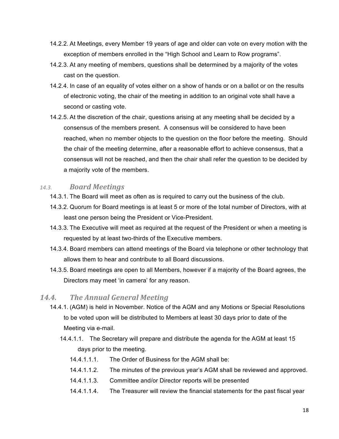- 14.2.2. At Meetings, every Member 19 years of age and older can vote on every motion with the exception of members enrolled in the "High School and Learn to Row programs".
- 14.2.3. At any meeting of members, questions shall be determined by a majority of the votes cast on the question.
- 14.2.4. In case of an equality of votes either on a show of hands or on a ballot or on the results of electronic voting, the chair of the meeting in addition to an original vote shall have a second or casting vote.
- 14.2.5. At the discretion of the chair, questions arising at any meeting shall be decided by a consensus of the members present. A consensus will be considered to have been reached, when no member objects to the question on the floor before the meeting. Should the chair of the meeting determine, after a reasonable effort to achieve consensus, that a consensus will not be reached, and then the chair shall refer the question to be decided by a majority vote of the members.

#### *14.3. Board Meetings*

- 14.3.1. The Board will meet as often as is required to carry out the business of the club.
- 14.3.2. Quorum for Board meetings is at least 5 or more of the total number of Directors, with at least one person being the President or Vice-President.
- 14.3.3. The Executive will meet as required at the request of the President or when a meeting is requested by at least two-thirds of the Executive members.
- 14.3.4. Board members can attend meetings of the Board via telephone or other technology that allows them to hear and contribute to all Board discussions.
- 14.3.5. Board meetings are open to all Members, however if a majority of the Board agrees, the Directors may meet 'in camera' for any reason.

#### 14.4. The Annual General Meeting

- 14.4.1. (AGM) is held in November. Notice of the AGM and any Motions or Special Resolutions to be voted upon will be distributed to Members at least 30 days prior to date of the Meeting via e-mail.
	- 14.4.1.1. The Secretary will prepare and distribute the agenda for the AGM at least 15 days prior to the meeting.
		- 14.4.1.1.1. The Order of Business for the AGM shall be:
		- 14.4.1.1.2. The minutes of the previous year's AGM shall be reviewed and approved.
		- 14.4.1.1.3. Committee and/or Director reports will be presented
		- 14.4.1.1.4. The Treasurer will review the financial statements for the past fiscal year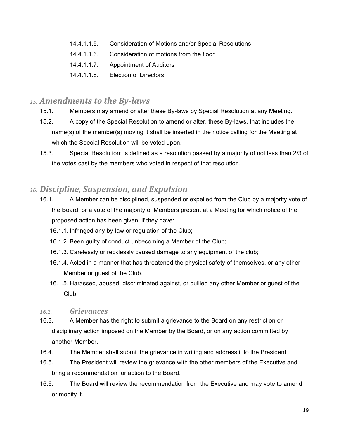- 14.4.1.1.5. Consideration of Motions and/or Special Resolutions
- 14.4.1.1.6. Consideration of motions from the floor
- 14.4.1.1.7. Appointment of Auditors
- 14.4.1.1.8. Election of Directors

# 15. Amendments to the By-laws

- 15.1. Members may amend or alter these By-laws by Special Resolution at any Meeting.
- 15.2. A copy of the Special Resolution to amend or alter, these By-laws, that includes the name(s) of the member(s) moving it shall be inserted in the notice calling for the Meeting at which the Special Resolution will be voted upon.
- 15.3. Special Resolution: is defined as a resolution passed by a majority of not less than 2/3 of the votes cast by the members who voted in respect of that resolution.

# *16. Discipline, Suspension, and Expulsion*

- 16.1. A Member can be disciplined, suspended or expelled from the Club by a majority vote of the Board, or a vote of the majority of Members present at a Meeting for which notice of the proposed action has been given, if they have:
	- 16.1.1. Infringed any by-law or regulation of the Club;
	- 16.1.2. Been guilty of conduct unbecoming a Member of the Club;
	- 16.1.3. Carelessly or recklessly caused damage to any equipment of the club;
	- 16.1.4. Acted in a manner that has threatened the physical safety of themselves, or any other Member or guest of the Club.
	- 16.1.5. Harassed, abused, discriminated against, or bullied any other Member or guest of the Club.

#### *16.2. Grievances*

- 16.3. A Member has the right to submit a grievance to the Board on any restriction or disciplinary action imposed on the Member by the Board, or on any action committed by another Member.
- 16.4. The Member shall submit the grievance in writing and address it to the President
- 16.5. The President will review the grievance with the other members of the Executive and bring a recommendation for action to the Board.
- 16.6. The Board will review the recommendation from the Executive and may vote to amend or modify it.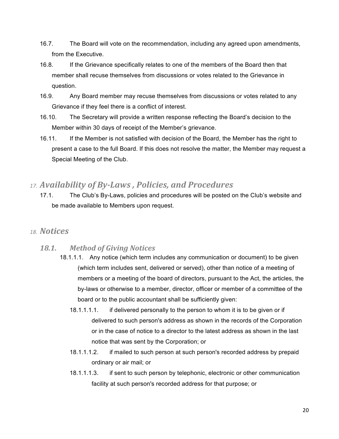- 16.7. The Board will vote on the recommendation, including any agreed upon amendments, from the Executive.
- 16.8. If the Grievance specifically relates to one of the members of the Board then that member shall recuse themselves from discussions or votes related to the Grievance in question.
- 16.9. Any Board member may recuse themselves from discussions or votes related to any Grievance if they feel there is a conflict of interest.
- 16.10. The Secretary will provide a written response reflecting the Board's decision to the Member within 30 days of receipt of the Member's grievance.
- 16.11. If the Member is not satisfied with decision of the Board, the Member has the right to present a case to the full Board. If this does not resolve the matter, the Member may request a Special Meeting of the Club.

# *17. Availability of By-Laws , Policies, and Procedures*

17.1. The Club's By-Laws, policies and procedures will be posted on the Club's website and be made available to Members upon request.

# *18. Notices*

# *18.1. Method of Giving Notices*

- 18.1.1.1. Any notice (which term includes any communication or document) to be given (which term includes sent, delivered or served), other than notice of a meeting of members or a meeting of the board of directors, pursuant to the Act, the articles, the by-laws or otherwise to a member, director, officer or member of a committee of the board or to the public accountant shall be sufficiently given:
	- 18.1.1.1.1. if delivered personally to the person to whom it is to be given or if delivered to such person's address as shown in the records of the Corporation or in the case of notice to a director to the latest address as shown in the last notice that was sent by the Corporation; or
	- 18.1.1.1.2. if mailed to such person at such person's recorded address by prepaid ordinary or air mail; or
	- 18.1.1.1.3. if sent to such person by telephonic, electronic or other communication facility at such person's recorded address for that purpose; or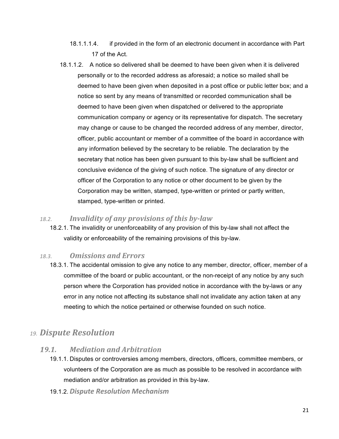- 18.1.1.1.4. if provided in the form of an electronic document in accordance with Part 17 of the Act.
- 18.1.1.2. A notice so delivered shall be deemed to have been given when it is delivered personally or to the recorded address as aforesaid; a notice so mailed shall be deemed to have been given when deposited in a post office or public letter box; and a notice so sent by any means of transmitted or recorded communication shall be deemed to have been given when dispatched or delivered to the appropriate communication company or agency or its representative for dispatch. The secretary may change or cause to be changed the recorded address of any member, director, officer, public accountant or member of a committee of the board in accordance with any information believed by the secretary to be reliable. The declaration by the secretary that notice has been given pursuant to this by-law shall be sufficient and conclusive evidence of the giving of such notice. The signature of any director or officer of the Corporation to any notice or other document to be given by the Corporation may be written, stamped, type-written or printed or partly written, stamped, type-written or printed.

#### 18.2. *Invalidity of any provisions of this by-law*

18.2.1. The invalidity or unenforceability of any provision of this by-law shall not affect the validity or enforceability of the remaining provisions of this by-law.

# *18.3. Omissions and Errors*

18.3.1. The accidental omission to give any notice to any member, director, officer, member of a committee of the board or public accountant, or the non-receipt of any notice by any such person where the Corporation has provided notice in accordance with the by-laws or any error in any notice not affecting its substance shall not invalidate any action taken at any meeting to which the notice pertained or otherwise founded on such notice.

# *19. Dispute Resolution*

# *19.1. Mediation and Arbitration*

- 19.1.1. Disputes or controversies among members, directors, officers, committee members, or volunteers of the Corporation are as much as possible to be resolved in accordance with mediation and/or arbitration as provided in this by-law.
- 19.1.2. *Dispute Resolution Mechanism*